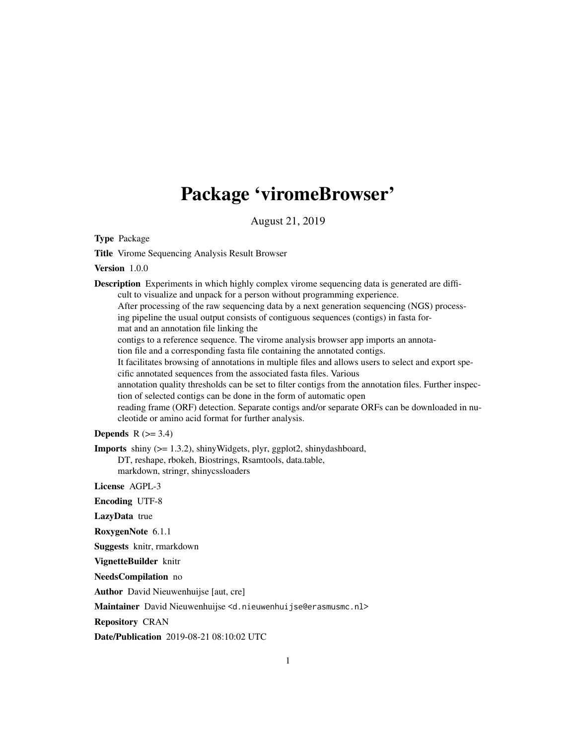## Package 'viromeBrowser'

August 21, 2019

Type Package

Title Virome Sequencing Analysis Result Browser

Version 1.0.0

Description Experiments in which highly complex virome sequencing data is generated are difficult to visualize and unpack for a person without programming experience. After processing of the raw sequencing data by a next generation sequencing (NGS) processing pipeline the usual output consists of contiguous sequences (contigs) in fasta format and an annotation file linking the contigs to a reference sequence. The virome analysis browser app imports an annotation file and a corresponding fasta file containing the annotated contigs. It facilitates browsing of annotations in multiple files and allows users to select and export specific annotated sequences from the associated fasta files. Various annotation quality thresholds can be set to filter contigs from the annotation files. Further inspection of selected contigs can be done in the form of automatic open reading frame (ORF) detection. Separate contigs and/or separate ORFs can be downloaded in nucleotide or amino acid format for further analysis.

Depends  $R$  ( $>= 3.4$ )

Imports shiny (>= 1.3.2), shinyWidgets, plyr, ggplot2, shinydashboard, DT, reshape, rbokeh, Biostrings, Rsamtools, data.table, markdown, stringr, shinycssloaders

License AGPL-3

Encoding UTF-8

LazyData true

RoxygenNote 6.1.1

Suggests knitr, rmarkdown

VignetteBuilder knitr

NeedsCompilation no

Author David Nieuwenhuijse [aut, cre]

Maintainer David Nieuwenhuijse <d.nieuwenhuijse@erasmusmc.nl>

Repository CRAN

Date/Publication 2019-08-21 08:10:02 UTC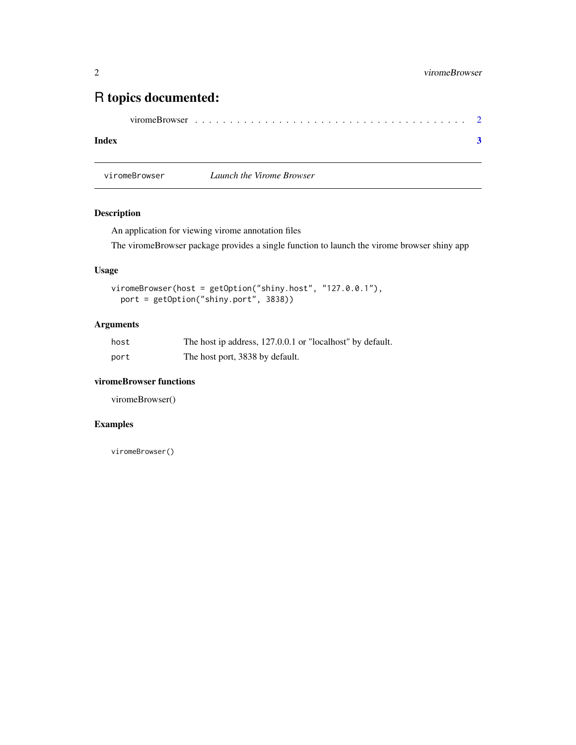### <span id="page-1-0"></span>R topics documented:

|--|--|--|--|--|--|--|--|--|--|--|--|--|--|--|--|--|--|--|--|--|--|--|--|--|--|--|--|--|--|--|--|

#### **Index** [3](#page-2-0)

viromeBrowser *Launch the Virome Browser*

#### Description

An application for viewing virome annotation files

The viromeBrowser package provides a single function to launch the virome browser shiny app

#### Usage

```
viromeBrowser(host = getOption("shiny.host", "127.0.0.1"),
port = getOption("shiny.port", 3838))
```
#### Arguments

| host | The host ip address, 127.0.0.1 or "localhost" by default. |
|------|-----------------------------------------------------------|
| port | The host port, 3838 by default.                           |

#### viromeBrowser functions

viromeBrowser()

#### Examples

viromeBrowser()